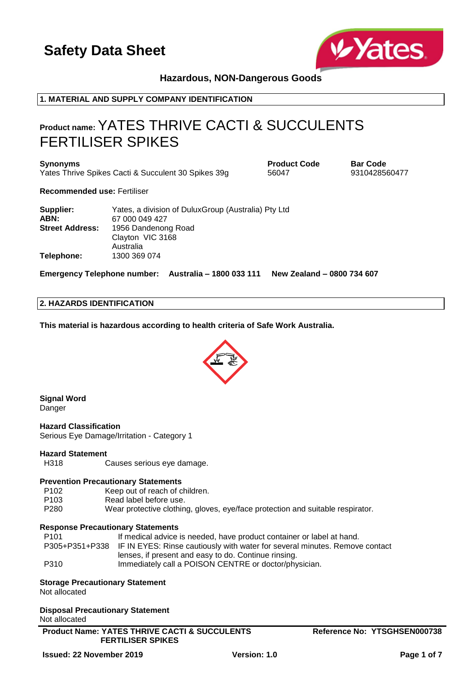

**Hazardous, NON-Dangerous Goods**

## **1. MATERIAL AND SUPPLY COMPANY IDENTIFICATION**

## **Product name:**YATES THRIVE CACTI & SUCCULENTS FERTILISER SPIKES

**Synonyms Product Code Bar Code** Yates Thrive Spikes Cacti & Succulent 30 Spikes 39g 56047 9310428560477

**Recommended use:** Fertiliser

| Supplier:              | Yates, a division of DuluxGroup (Australia) Pty Ltd |
|------------------------|-----------------------------------------------------|
| ABN:                   | 67 000 049 427                                      |
| <b>Street Address:</b> | 1956 Dandenong Road                                 |
|                        | Clayton VIC 3168                                    |
|                        | Australia                                           |
| Telephone:             | 1300 369 074                                        |

**Emergency Telephone number: Australia – 1800 033 111 New Zealand – 0800 734 607**

## **2. HAZARDS IDENTIFICATION**

**This material is hazardous according to health criteria of Safe Work Australia.**



**Signal Word** Danger

**Hazard Classification** Serious Eye Damage/Irritation - Category 1

## **Hazard Statement**

H318 Causes serious eye damage.

#### **Prevention Precautionary Statements**

P102 Keep out of reach of children.

P103 Read label before use.

P280 Wear protective clothing, gloves, eye/face protection and suitable respirator.

## **Response Precautionary Statements**

| P101 | If medical advice is needed, have product container or label at hand.                      |
|------|--------------------------------------------------------------------------------------------|
|      | P305+P351+P338 IF IN EYES: Rinse cautiously with water for several minutes. Remove contact |
|      | lenses, if present and easy to do. Continue rinsing.                                       |
| P310 | Immediately call a POISON CENTRE or doctor/physician.                                      |

#### **Storage Precautionary Statement**

Not allocated

**Disposal Precautionary Statement** Not allocated

**Product Name: YATES THRIVE CACTI & SUCCULENTS FERTILISER SPIKES**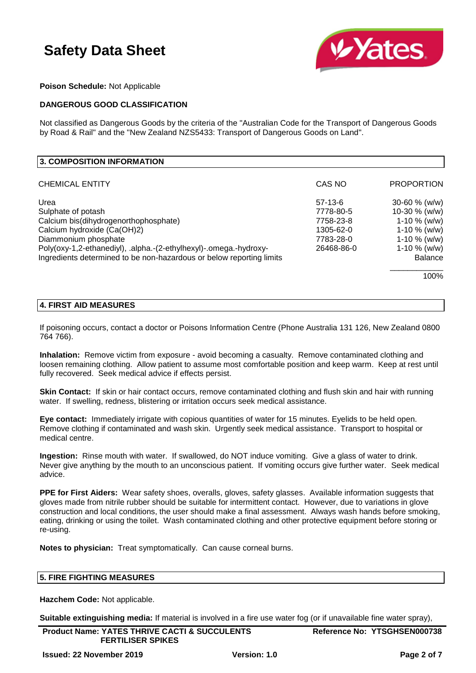

## **Poison Schedule:** Not Applicable

## **DANGEROUS GOOD CLASSIFICATION**

Not classified as Dangerous Goods by the criteria of the "Australian Code for the Transport of Dangerous Goods by Road & Rail" and the "New Zealand NZS5433: Transport of Dangerous Goods on Land".

| 3. COMPOSITION INFORMATION                                           |            |                   |
|----------------------------------------------------------------------|------------|-------------------|
| <b>CHEMICAL ENTITY</b>                                               | CAS NO     | <b>PROPORTION</b> |
| Urea                                                                 | $57-13-6$  | $30 - 60$ % (w/w) |
| Sulphate of potash                                                   | 7778-80-5  | 10-30 $% (w/w)$   |
| Calcium bis(dihydrogenorthophosphate)                                | 7758-23-8  | $1-10 \%$ (w/w)   |
| Calcium hydroxide (Ca(OH)2)                                          | 1305-62-0  | $1-10 \%$ (w/w)   |
| Diammonium phosphate                                                 | 7783-28-0  | $1-10 \%$ (w/w)   |
| Poly(oxy-1,2-ethanediyl), .alpha.-(2-ethylhexyl)-.omega.-hydroxy-    | 26468-86-0 | $1-10 \%$ (w/w)   |
| Ingredients determined to be non-hazardous or below reporting limits |            | <b>Balance</b>    |
|                                                                      |            | 100%              |

#### **4. FIRST AID MEASURES**

If poisoning occurs, contact a doctor or Poisons Information Centre (Phone Australia 131 126, New Zealand 0800 764 766).

**Inhalation:** Remove victim from exposure - avoid becoming a casualty. Remove contaminated clothing and loosen remaining clothing. Allow patient to assume most comfortable position and keep warm. Keep at rest until fully recovered. Seek medical advice if effects persist.

**Skin Contact:** If skin or hair contact occurs, remove contaminated clothing and flush skin and hair with running water. If swelling, redness, blistering or irritation occurs seek medical assistance.

**Eye contact:** Immediately irrigate with copious quantities of water for 15 minutes. Eyelids to be held open. Remove clothing if contaminated and wash skin. Urgently seek medical assistance. Transport to hospital or medical centre.

**Ingestion:** Rinse mouth with water. If swallowed, do NOT induce vomiting. Give a glass of water to drink. Never give anything by the mouth to an unconscious patient. If vomiting occurs give further water. Seek medical advice.

**PPE for First Aiders:** Wear safety shoes, overalls, gloves, safety glasses. Available information suggests that gloves made from nitrile rubber should be suitable for intermittent contact. However, due to variations in glove construction and local conditions, the user should make a final assessment. Always wash hands before smoking, eating, drinking or using the toilet. Wash contaminated clothing and other protective equipment before storing or re-using.

**Notes to physician:** Treat symptomatically. Can cause corneal burns.

## **5. FIRE FIGHTING MEASURES**

**Hazchem Code:** Not applicable.

**Suitable extinguishing media:** If material is involved in a fire use water fog (or if unavailable fine water spray),

**Product Name: YATES THRIVE CACTI & SUCCULENTS FERTILISER SPIKES**

**Reference No: YTSGHSEN000738**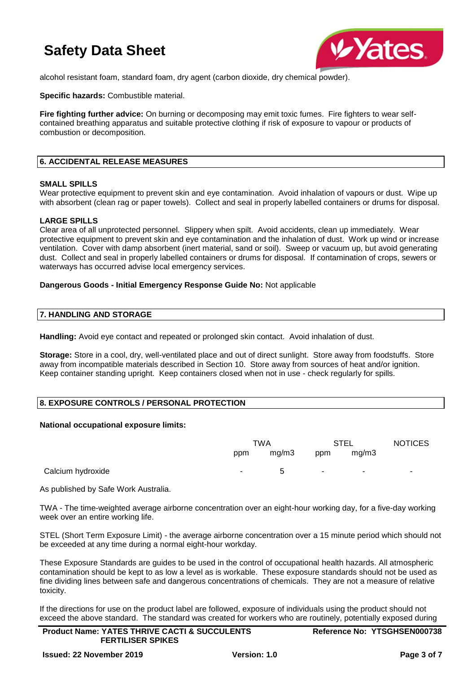

alcohol resistant foam, standard foam, dry agent (carbon dioxide, dry chemical powder).

**Specific hazards:** Combustible material.

**Fire fighting further advice:** On burning or decomposing may emit toxic fumes. Fire fighters to wear selfcontained breathing apparatus and suitable protective clothing if risk of exposure to vapour or products of combustion or decomposition.

## **6. ACCIDENTAL RELEASE MEASURES**

#### **SMALL SPILLS**

Wear protective equipment to prevent skin and eye contamination. Avoid inhalation of vapours or dust. Wipe up with absorbent (clean rag or paper towels). Collect and seal in properly labelled containers or drums for disposal.

## **LARGE SPILLS**

Clear area of all unprotected personnel. Slippery when spilt. Avoid accidents, clean up immediately. Wear protective equipment to prevent skin and eye contamination and the inhalation of dust. Work up wind or increase ventilation. Cover with damp absorbent (inert material, sand or soil). Sweep or vacuum up, but avoid generating dust. Collect and seal in properly labelled containers or drums for disposal. If contamination of crops, sewers or waterways has occurred advise local emergency services.

#### **Dangerous Goods - Initial Emergency Response Guide No:** Not applicable

#### **7. HANDLING AND STORAGE**

**Handling:** Avoid eye contact and repeated or prolonged skin contact. Avoid inhalation of dust.

**Storage:** Store in a cool, dry, well-ventilated place and out of direct sunlight. Store away from foodstuffs. Store away from incompatible materials described in Section 10. Store away from sources of heat and/or ignition. Keep container standing upright. Keep containers closed when not in use - check regularly for spills.

## **8. EXPOSURE CONTROLS / PERSONAL PROTECTION**

#### **National occupational exposure limits:**

|                   | TWA        |       | <b>STEL</b> |            | <b>NOTICES</b> |
|-------------------|------------|-------|-------------|------------|----------------|
|                   | ppm        | mg/m3 | ppm         | mg/m3      |                |
| Calcium hydroxide | $\sim 100$ | 5     | $\sim$      | $\sim$ $-$ | $\sim$         |

As published by Safe Work Australia.

TWA - The time-weighted average airborne concentration over an eight-hour working day, for a five-day working week over an entire working life.

STEL (Short Term Exposure Limit) - the average airborne concentration over a 15 minute period which should not be exceeded at any time during a normal eight-hour workday.

These Exposure Standards are guides to be used in the control of occupational health hazards. All atmospheric contamination should be kept to as low a level as is workable. These exposure standards should not be used as fine dividing lines between safe and dangerous concentrations of chemicals. They are not a measure of relative toxicity.

If the directions for use on the product label are followed, exposure of individuals using the product should not exceed the above standard. The standard was created for workers who are routinely, potentially exposed during

| <b>Product Name: YATES THRIVE CACTI &amp; SUCCULENTS</b> | Reference No: YTSGHSEN000738 |
|----------------------------------------------------------|------------------------------|
| <b>FERTILISER SPIKES</b>                                 |                              |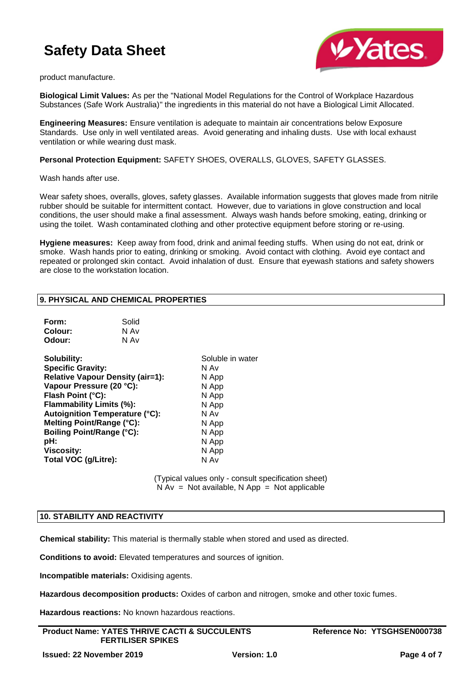

product manufacture.

**Biological Limit Values:** As per the "National Model Regulations for the Control of Workplace Hazardous Substances (Safe Work Australia)" the ingredients in this material do not have a Biological Limit Allocated.

**Engineering Measures:** Ensure ventilation is adequate to maintain air concentrations below Exposure Standards. Use only in well ventilated areas. Avoid generating and inhaling dusts. Use with local exhaust ventilation or while wearing dust mask.

**Personal Protection Equipment:** SAFETY SHOES, OVERALLS, GLOVES, SAFETY GLASSES.

Wash hands after use.

Wear safety shoes, overalls, gloves, safety glasses. Available information suggests that gloves made from nitrile rubber should be suitable for intermittent contact. However, due to variations in glove construction and local conditions, the user should make a final assessment. Always wash hands before smoking, eating, drinking or using the toilet. Wash contaminated clothing and other protective equipment before storing or re-using.

**Hygiene measures:** Keep away from food, drink and animal feeding stuffs. When using do not eat, drink or smoke. Wash hands prior to eating, drinking or smoking. Avoid contact with clothing. Avoid eye contact and repeated or prolonged skin contact. Avoid inhalation of dust. Ensure that eyewash stations and safety showers are close to the workstation location.

## **9. PHYSICAL AND CHEMICAL PROPERTIES**

| Form:   | Solid |
|---------|-------|
| Colour: | N Av  |
| Odour:  | N Av  |

| Solubility:                             | Soluble in water |
|-----------------------------------------|------------------|
| <b>Specific Gravity:</b>                | N Av             |
| <b>Relative Vapour Density (air=1):</b> | N App            |
| Vapour Pressure (20 °C):                | N App            |
| Flash Point (°C):                       | N App            |
| Flammability Limits (%):                | N App            |
| <b>Autoignition Temperature (°C):</b>   | N Av             |
| Melting Point/Range (°C):               | N App            |
| <b>Boiling Point/Range (°C):</b>        | N App            |
| pH:                                     | N App            |
| <b>Viscosity:</b>                       | N App            |
| Total VOC (g/Litre):                    | N Av             |

(Typical values only - consult specification sheet)  $N Av = Not available, N App = Not applicable$ 

## **10. STABILITY AND REACTIVITY**

**Chemical stability:** This material is thermally stable when stored and used as directed.

**Conditions to avoid:** Elevated temperatures and sources of ignition.

**Incompatible materials:** Oxidising agents.

**Hazardous decomposition products:** Oxides of carbon and nitrogen, smoke and other toxic fumes.

**Hazardous reactions:** No known hazardous reactions.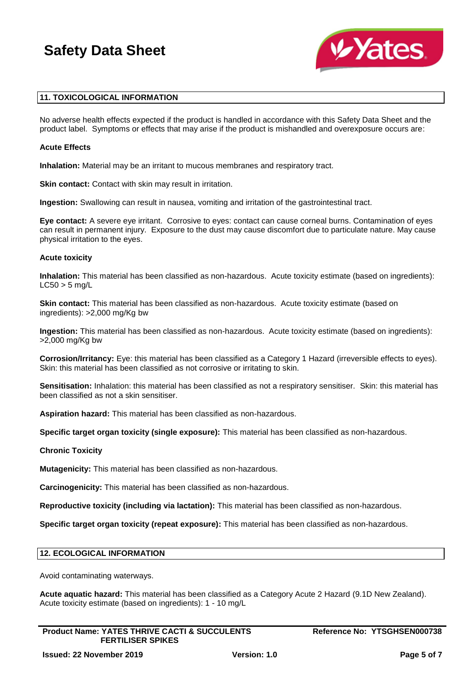

## **11. TOXICOLOGICAL INFORMATION**

No adverse health effects expected if the product is handled in accordance with this Safety Data Sheet and the product label. Symptoms or effects that may arise if the product is mishandled and overexposure occurs are:

#### **Acute Effects**

**Inhalation:** Material may be an irritant to mucous membranes and respiratory tract.

**Skin contact:** Contact with skin may result in irritation.

**Ingestion:** Swallowing can result in nausea, vomiting and irritation of the gastrointestinal tract.

**Eye contact:** A severe eye irritant. Corrosive to eyes: contact can cause corneal burns. Contamination of eyes can result in permanent injury. Exposure to the dust may cause discomfort due to particulate nature. May cause physical irritation to the eyes.

#### **Acute toxicity**

**Inhalation:** This material has been classified as non-hazardous. Acute toxicity estimate (based on ingredients):  $LC50 > 5$  ma/L

**Skin contact:** This material has been classified as non-hazardous. Acute toxicity estimate (based on ingredients): >2,000 mg/Kg bw

**Ingestion:** This material has been classified as non-hazardous. Acute toxicity estimate (based on ingredients): >2,000 mg/Kg bw

**Corrosion/Irritancy:** Eye: this material has been classified as a Category 1 Hazard (irreversible effects to eyes). Skin: this material has been classified as not corrosive or irritating to skin.

**Sensitisation:** Inhalation: this material has been classified as not a respiratory sensitiser. Skin: this material has been classified as not a skin sensitiser.

**Aspiration hazard:** This material has been classified as non-hazardous.

**Specific target organ toxicity (single exposure):** This material has been classified as non-hazardous.

#### **Chronic Toxicity**

**Mutagenicity:** This material has been classified as non-hazardous.

**Carcinogenicity:** This material has been classified as non-hazardous.

**Reproductive toxicity (including via lactation):** This material has been classified as non-hazardous.

**Specific target organ toxicity (repeat exposure):** This material has been classified as non-hazardous.

#### **12. ECOLOGICAL INFORMATION**

Avoid contaminating waterways.

**Acute aquatic hazard:** This material has been classified as a Category Acute 2 Hazard (9.1D New Zealand). Acute toxicity estimate (based on ingredients): 1 - 10 mg/L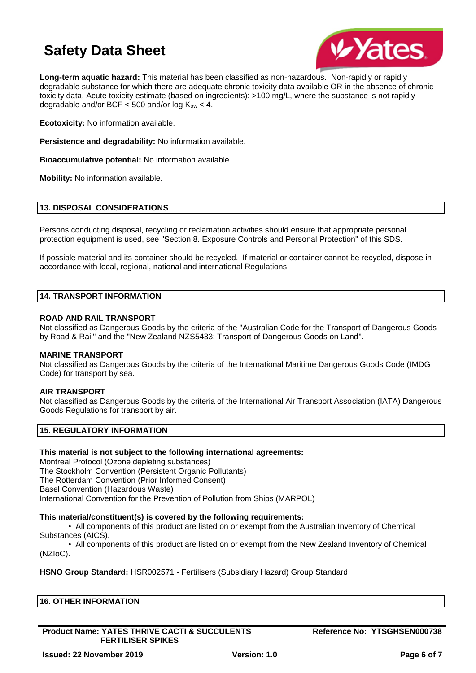

**Long-term aquatic hazard:** This material has been classified as non-hazardous. Non-rapidly or rapidly degradable substance for which there are adequate chronic toxicity data available OR in the absence of chronic toxicity data, Acute toxicity estimate (based on ingredients): >100 mg/L, where the substance is not rapidly degradable and/or BCF  $<$  500 and/or log  $K_{ow}$   $<$  4.

**Ecotoxicity:** No information available.

**Persistence and degradability:** No information available.

**Bioaccumulative potential:** No information available.

**Mobility:** No information available.

## **13. DISPOSAL CONSIDERATIONS**

Persons conducting disposal, recycling or reclamation activities should ensure that appropriate personal protection equipment is used, see "Section 8. Exposure Controls and Personal Protection" of this SDS.

If possible material and its container should be recycled. If material or container cannot be recycled, dispose in accordance with local, regional, national and international Regulations.

## **14. TRANSPORT INFORMATION**

#### **ROAD AND RAIL TRANSPORT**

Not classified as Dangerous Goods by the criteria of the "Australian Code for the Transport of Dangerous Goods by Road & Rail" and the "New Zealand NZS5433: Transport of Dangerous Goods on Land".

#### **MARINE TRANSPORT**

Not classified as Dangerous Goods by the criteria of the International Maritime Dangerous Goods Code (IMDG Code) for transport by sea.

#### **AIR TRANSPORT**

Not classified as Dangerous Goods by the criteria of the International Air Transport Association (IATA) Dangerous Goods Regulations for transport by air.

## **15. REGULATORY INFORMATION**

## **This material is not subject to the following international agreements:**

Montreal Protocol (Ozone depleting substances) The Stockholm Convention (Persistent Organic Pollutants) The Rotterdam Convention (Prior Informed Consent) Basel Convention (Hazardous Waste) International Convention for the Prevention of Pollution from Ships (MARPOL)

#### **This material/constituent(s) is covered by the following requirements:**

• All components of this product are listed on or exempt from the Australian Inventory of Chemical Substances (AICS).

• All components of this product are listed on or exempt from the New Zealand Inventory of Chemical (NZIoC).

## **HSNO Group Standard:** HSR002571 - Fertilisers (Subsidiary Hazard) Group Standard

| <b>HER INFORMATION</b><br>16.<br>the contract of the contract of the contract of the contract of the contract of the contract of the contract of |  |  |
|--------------------------------------------------------------------------------------------------------------------------------------------------|--|--|
|                                                                                                                                                  |  |  |

**Product Name: YATES THRIVE CACTI & SUCCULENTS FERTILISER SPIKES**

**Reference No: YTSGHSEN000738**